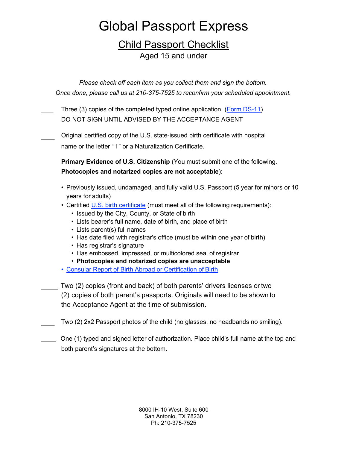# Global Passport Express

### Child Passport Checklist Aged 15 and under

Please check off each item as you collect them and sign the bottom. Once done, please call us at 210-375-7525 to reconfirm your scheduled appointment.

Three (3) copies of the completed typed online application. (Form DS-11) DO NOT SIGN UNTIL ADVISED BY THE ACCEPTANCE AGENT

Original certified copy of the U.S. state-issued birth certificate with hospital name or the letter " I " or a Naturalization Certificate.

Primary Evidence of U.S. Citizenship (You must submit one of the following. Photocopies and notarized copies are not acceptable):

- Previously issued, undamaged, and fully valid U.S. Passport (5 year for minors or 10 years for adults)
- Certified U.S. birth certificate (must meet all of the following requirements):
	- Issued by the City, County, or State of birth
	- Lists bearer's full name, date of birth, and place of birth
	- Lists parent(s) full names
	- Has date filed with registrar's office (must be within one year of birth)
	- Has registrar's signature
	- Has embossed, impressed, or multicolored seal of registrar
	- Photocopies and notarized copies are unacceptable
- Consular Report of Birth Abroad or Certification of Birth

 Two (2) copies (front and back) of both parents' drivers licenses or two (2) copies of both parent's passports. Originals will need to be shown to the Acceptance Agent at the time of submission.

Two (2) 2x2 Passport photos of the child (no glasses, no headbands no smiling).

 $\Box$  One (1) typed and signed letter of authorization. Place child's full name at the top and both parent's signatures at the bottom.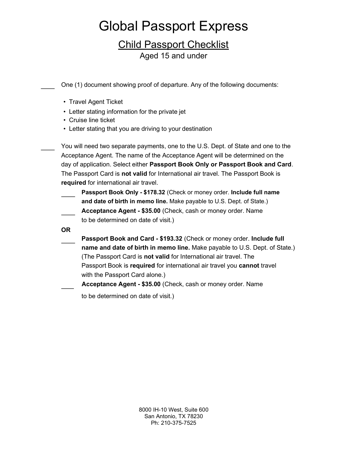# Global Passport Express

## Child Passport Checklist

Aged 15 and under

One (1) document showing proof of departure. Any of the following documents:

- Travel Agent Ticket
- Letter stating information for the private jet
- Cruise line ticket
- Letter stating that you are driving to your destination

You will need two separate payments, one to the U.S. Dept. of State and one to the Acceptance Agent. The name of the Acceptance Agent will be determined on the day of application. Select either Passport Book Only or Passport Book and Card. The Passport Card is not valid for International air travel. The Passport Book is required for international air travel.

Passport Book Only - \$178.32 (Check or money order. Include full name and date of birth in memo line. Make payable to U.S. Dept. of State.) Acceptance Agent - \$35.00 (Check, cash or money order. Name to be determined on date of visit.)

OR

- Passport Book and Card \$193.32 (Check or money order. Include full name and date of birth in memo line. Make payable to U.S. Dept. of State.) (The Passport Card is not valid for International air travel. The Passport Book is required for international air travel you cannot travel with the Passport Card alone.)
- Acceptance Agent \$35.00 (Check, cash or money order. Name

to be determined on date of visit.)